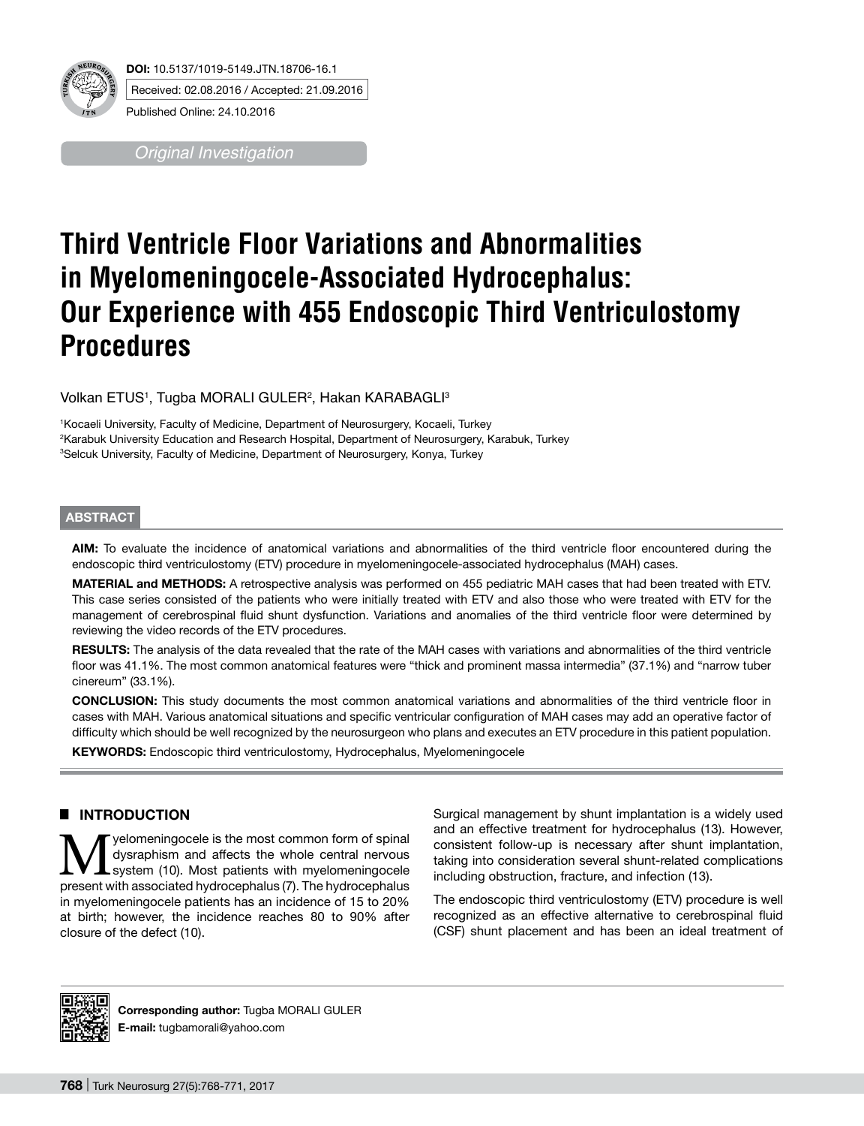

*Original Investigation*

# **Third Ventricle Floor Variations and Abnormalities in Myelomeningocele-Associated Hydrocephalus: Our Experience with 455 Endoscopic Third Ventriculostomy Procedures**

Volkan ETUS1, Tugba MORALI GULER<del>2, Hakan KARABAGLI3</del>

1 Kocaeli University, Faculty of Medicine, Department of Neurosurgery, Kocaeli, Turkey 2 Karabuk University Education and Research Hospital, Department of Neurosurgery, Karabuk, Turkey 3 Selcuk University, Faculty of Medicine, Department of Neurosurgery, Konya, Turkey

#### **ABSTRACT**

**AIm:** To evaluate the incidence of anatomical variations and abnormalities of the third ventricle floor encountered during the endoscopic third ventriculostomy (ETV) procedure in myelomeningocele-associated hydrocephalus (MAH) cases.

**MaterIal and Methods:** A retrospective analysis was performed on 455 pediatric MAH cases that had been treated with ETV. This case series consisted of the patients who were initially treated with ETV and also those who were treated with ETV for the management of cerebrospinal fluid shunt dysfunction. Variations and anomalies of the third ventricle floor were determined by reviewing the video records of the ETV procedures.

RESULTS: The analysis of the data revealed that the rate of the MAH cases with variations and abnormalities of the third ventricle floor was 41.1%. The most common anatomical features were "thick and prominent massa intermedia" (37.1%) and "narrow tuber cinereum" (33.1%).

**ConclusIon:** This study documents the most common anatomical variations and abnormalities of the third ventricle floor in cases with MAH. Various anatomical situations and specific ventricular configuration of MAH cases may add an operative factor of difficulty which should be well recognized by the neurosurgeon who plans and executes an ETV procedure in this patient population.

**KEYWORDS:** Endoscopic third ventriculostomy, Hydrocephalus, Myelomeningocele

### █ **INTRODUCTION**

**M** yelomeningocele is the most common form of spinal<br>system (10). Most patients with myelomeningocele<br>present with associated bydrocenhalus (7). The bydrocenhalus dysraphism and affects the whole central nervous system (10). Most patients with myelomeningocele present with associated hydrocephalus (7). The hydrocephalus in myelomeningocele patients has an incidence of 15 to 20% at birth; however, the incidence reaches 80 to 90% after closure of the defect (10).

Surgical management by shunt implantation is a widely used and an effective treatment for hydrocephalus (13). However, consistent follow-up is necessary after shunt implantation, taking into consideration several shunt-related complications including obstruction, fracture, and infection (13).

The endoscopic third ventriculostomy (ETV) procedure is well recognized as an effective alternative to cerebrospinal fluid (CSF) shunt placement and has been an ideal treatment of



**Corresponding author:** Tugba MORALI GULER **E-mail:** tugbamorali@yahoo.com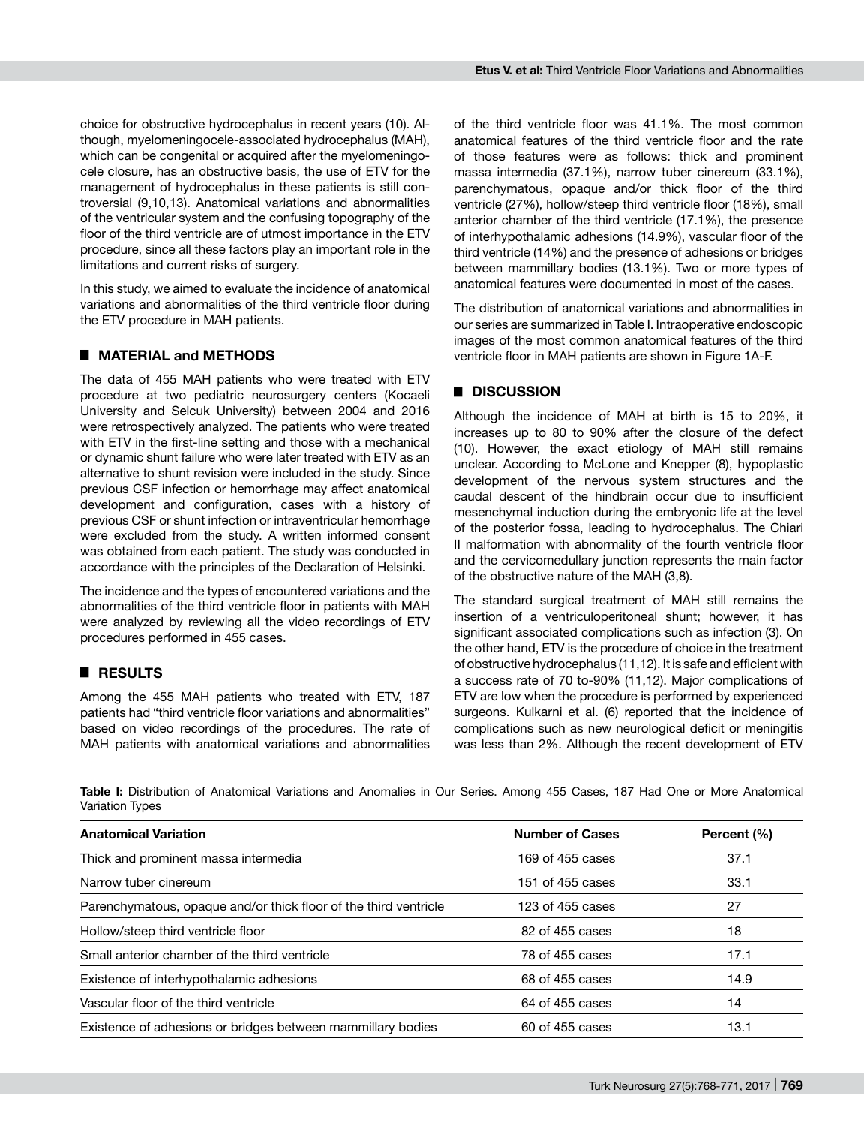choice for obstructive hydrocephalus in recent years (10). Although, myelomeningocele-associated hydrocephalus (MAH), which can be congenital or acquired after the myelomeningocele closure, has an obstructive basis, the use of ETV for the management of hydrocephalus in these patients is still controversial (9,10,13). Anatomical variations and abnormalities of the ventricular system and the confusing topography of the floor of the third ventricle are of utmost importance in the ETV procedure, since all these factors play an important role in the limitations and current risks of surgery.

In this study, we aimed to evaluate the incidence of anatomical variations and abnormalities of the third ventricle floor during the ETV procedure in MAH patients.

## █ **MATERIAL and METHODS**

The data of 455 MAH patients who were treated with ETV procedure at two pediatric neurosurgery centers (Kocaeli University and Selcuk University) between 2004 and 2016 were retrospectively analyzed. The patients who were treated with ETV in the first-line setting and those with a mechanical or dynamic shunt failure who were later treated with ETV as an alternative to shunt revision were included in the study. Since previous CSF infection or hemorrhage may affect anatomical development and configuration, cases with a history of previous CSF or shunt infection or intraventricular hemorrhage were excluded from the study. A written informed consent was obtained from each patient. The study was conducted in accordance with the principles of the Declaration of Helsinki.

The incidence and the types of encountered variations and the abnormalities of the third ventricle floor in patients with MAH were analyzed by reviewing all the video recordings of ETV procedures performed in 455 cases.

# █ **RESULTS**

Among the 455 MAH patients who treated with ETV, 187 patients had "third ventricle floor variations and abnormalities" based on video recordings of the procedures. The rate of MAH patients with anatomical variations and abnormalities

of the third ventricle floor was 41.1%. The most common anatomical features of the third ventricle floor and the rate of those features were as follows: thick and prominent massa intermedia (37.1%), narrow tuber cinereum (33.1%), parenchymatous, opaque and/or thick floor of the third ventricle (27%), hollow/steep third ventricle floor (18%), small anterior chamber of the third ventricle (17.1%), the presence of interhypothalamic adhesions (14.9%), vascular floor of the third ventricle (14%) and the presence of adhesions or bridges between mammillary bodies (13.1%). Two or more types of anatomical features were documented in most of the cases.

The distribution of anatomical variations and abnormalities in our series are summarized in Table I. Intraoperative endoscopic images of the most common anatomical features of the third ventricle floor in MAH patients are shown in Figure 1A-F.

## █ **DISCUSSION**

Although the incidence of MAH at birth is 15 to 20%, it increases up to 80 to 90% after the closure of the defect (10). However, the exact etiology of MAH still remains unclear. According to McLone and Knepper (8), hypoplastic development of the nervous system structures and the caudal descent of the hindbrain occur due to insufficient mesenchymal induction during the embryonic life at the level of the posterior fossa, leading to hydrocephalus. The Chiari II malformation with abnormality of the fourth ventricle floor and the cervicomedullary junction represents the main factor of the obstructive nature of the MAH (3,8).

The standard surgical treatment of MAH still remains the insertion of a ventriculoperitoneal shunt; however, it has significant associated complications such as infection (3). On the other hand, ETV is the procedure of choice in the treatment of obstructive hydrocephalus (11,12). It is safe and efficient with a success rate of 70 to-90% (11,12). Major complications of ETV are low when the procedure is performed by experienced surgeons. Kulkarni et al. (6) reported that the incidence of complications such as new neurological deficit or meningitis was less than 2%. Although the recent development of ETV

**Table I:** Distribution of Anatomical Variations and Anomalies in Our Series. Among 455 Cases, 187 Had One or More Anatomical Variation Types

| <b>Anatomical Variation</b>                                      | <b>Number of Cases</b> | Percent (%) |
|------------------------------------------------------------------|------------------------|-------------|
| Thick and prominent massa intermedia                             | 169 of 455 cases       | 37.1        |
| Narrow tuber cinereum                                            | 151 of 455 cases       | 33.1        |
| Parenchymatous, opaque and/or thick floor of the third ventricle | 123 of 455 cases       | 27          |
| Hollow/steep third ventricle floor                               | 82 of 455 cases        | 18          |
| Small anterior chamber of the third ventricle                    | 78 of 455 cases        | 17.1        |
| Existence of interhypothalamic adhesions                         | 68 of 455 cases        | 14.9        |
| Vascular floor of the third ventricle                            | 64 of 455 cases        | 14          |
| Existence of adhesions or bridges between mammillary bodies      | 60 of 455 cases        | 13.1        |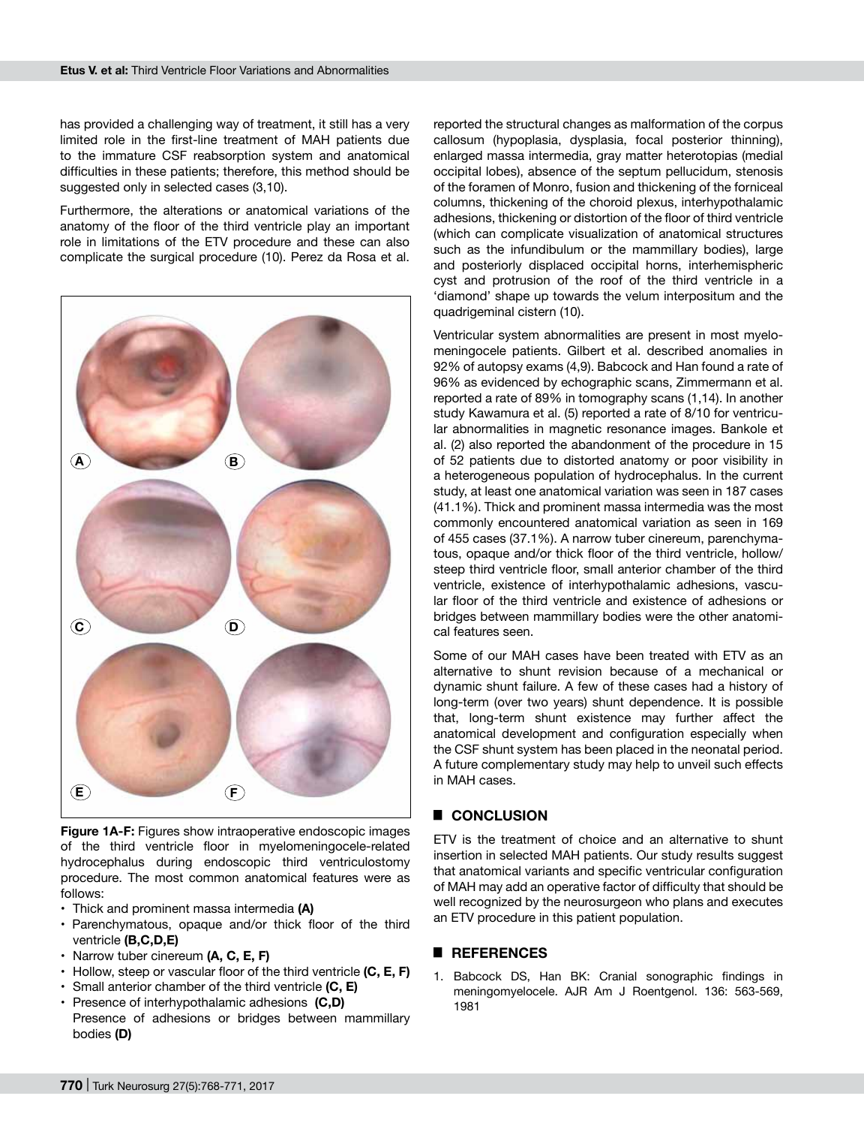has provided a challenging way of treatment, it still has a very limited role in the first-line treatment of MAH patients due to the immature CSF reabsorption system and anatomical difficulties in these patients; therefore, this method should be suggested only in selected cases (3,10).

Furthermore, the alterations or anatomical variations of the anatomy of the floor of the third ventricle play an important role in limitations of the ETV procedure and these can also complicate the surgical procedure (10). Perez da Rosa et al.



**Figure 1A-F:** Figures show intraoperative endoscopic images of the third ventricle floor in myelomeningocele-related hydrocephalus during endoscopic third ventriculostomy procedure. The most common anatomical features were as follows:

- Thick and prominent massa intermedia **(A)**
- Parenchymatous, opaque and/or thick floor of the third ventricle **(B,C,D,E)**
- Narrow tuber cinereum **(A, C, E, F)**
- Hollow, steep or vascular floor of the third ventricle **(C, E, F)**
- Small anterior chamber of the third ventricle **(C, E)**
- Presence of interhypothalamic adhesions **(C,D)**
- Presence of adhesions or bridges between mammillary bodies **(D)**

reported the structural changes as malformation of the corpus callosum (hypoplasia, dysplasia, focal posterior thinning), enlarged massa intermedia, gray matter heterotopias (medial occipital lobes), absence of the septum pellucidum, stenosis of the foramen of Monro, fusion and thickening of the forniceal columns, thickening of the choroid plexus, interhypothalamic adhesions, thickening or distortion of the floor of third ventricle (which can complicate visualization of anatomical structures such as the infundibulum or the mammillary bodies), large and posteriorly displaced occipital horns, interhemispheric cyst and protrusion of the roof of the third ventricle in a 'diamond' shape up towards the velum interpositum and the quadrigeminal cistern (10).

Ventricular system abnormalities are present in most myelomeningocele patients. Gilbert et al. described anomalies in 92% of autopsy exams (4,9). Babcock and Han found a rate of 96% as evidenced by echographic scans, Zimmermann et al. reported a rate of 89% in tomography scans (1,14). In another study Kawamura et al. (5) reported a rate of 8/10 for ventricular abnormalities in magnetic resonance images. Bankole et al. (2) also reported the abandonment of the procedure in 15 of 52 patients due to distorted anatomy or poor visibility in a heterogeneous population of hydrocephalus. In the current study, at least one anatomical variation was seen in 187 cases (41.1%). Thick and prominent massa intermedia was the most commonly encountered anatomical variation as seen in 169 of 455 cases (37.1%). A narrow tuber cinereum, parenchymatous, opaque and/or thick floor of the third ventricle, hollow/ steep third ventricle floor, small anterior chamber of the third ventricle, existence of interhypothalamic adhesions, vascular floor of the third ventricle and existence of adhesions or bridges between mammillary bodies were the other anatomical features seen.

Some of our MAH cases have been treated with ETV as an alternative to shunt revision because of a mechanical or dynamic shunt failure. A few of these cases had a history of long-term (over two years) shunt dependence. It is possible that, long-term shunt existence may further affect the anatomical development and configuration especially when the CSF shunt system has been placed in the neonatal period. A future complementary study may help to unveil such effects in MAH cases.

# █ **CONCLUSION**

ETV is the treatment of choice and an alternative to shunt insertion in selected MAH patients. Our study results suggest that anatomical variants and specific ventricular configuration of MAH may add an operative factor of difficulty that should be well recognized by the neurosurgeon who plans and executes an ETV procedure in this patient population.

#### █ **REFERENCES**

1. Babcock DS, Han BK: Cranial sonographic findings in meningomyelocele. AJR Am J Roentgenol. 136: 563-569, 1981